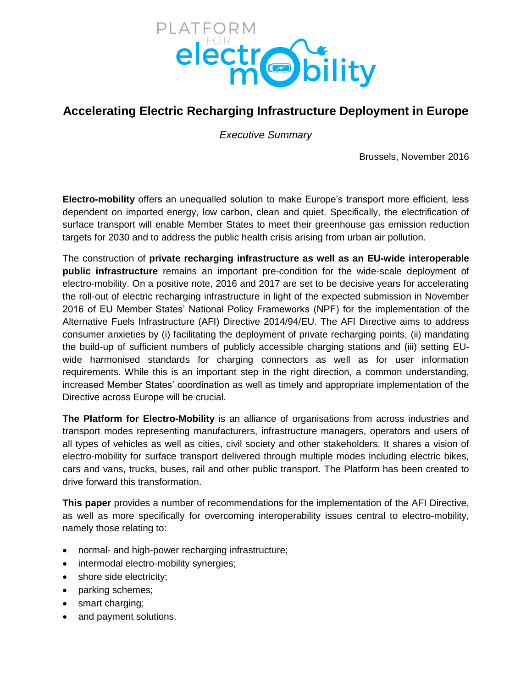

# **Accelerating Electric Recharging Infrastructure Deployment in Europe**

*Executive Summary*

Brussels, November 2016

**Electro-mobility** offers an unequalled solution to make Europe's transport more efficient, less dependent on imported energy, low carbon, clean and quiet. Specifically, the electrification of surface transport will enable Member States to meet their greenhouse gas emission reduction targets for 2030 and to address the public health crisis arising from urban air pollution.

The construction of **private recharging infrastructure as well as an EU-wide interoperable public infrastructure** remains an important pre-condition for the wide-scale deployment of electro-mobility. On a positive note, 2016 and 2017 are set to be decisive years for accelerating the roll-out of electric recharging infrastructure in light of the expected submission in November 2016 of EU Member States' National Policy Frameworks (NPF) for the implementation of the Alternative Fuels Infrastructure (AFI) Directive 2014/94/EU. The AFI Directive aims to address consumer anxieties by (i) facilitating the deployment of private recharging points, (ii) mandating the build-up of sufficient numbers of publicly accessible charging stations and (iii) setting EUwide harmonised standards for charging connectors as well as for user information requirements. While this is an important step in the right direction, a common understanding, increased Member States' coordination as well as timely and appropriate implementation of the Directive across Europe will be crucial.

**The Platform for Electro-Mobility** is an alliance of organisations from across industries and transport modes representing manufacturers, infrastructure managers, operators and users of all types of vehicles as well as cities, civil society and other stakeholders. It shares a vision of electro-mobility for surface transport delivered through multiple modes including electric bikes, cars and vans, trucks, buses, rail and other public transport. The Platform has been created to drive forward this transformation.

**This paper** provides a number of recommendations for the implementation of the AFI Directive, as well as more specifically for overcoming interoperability issues central to electro-mobility, namely those relating to:

- normal- and high-power recharging infrastructure;
- intermodal electro-mobility synergies;
- shore side electricity;
- parking schemes;
- smart charging;
- and payment solutions.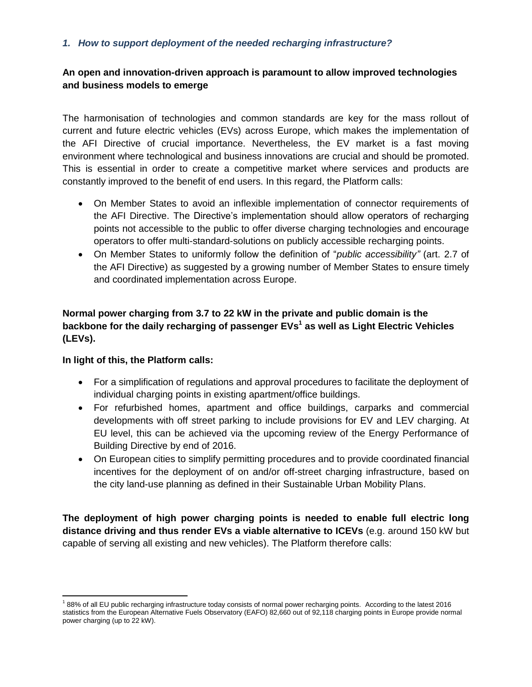#### *1. How to support deployment of the needed recharging infrastructure?*

#### **An open and innovation-driven approach is paramount to allow improved technologies and business models to emerge**

The harmonisation of technologies and common standards are key for the mass rollout of current and future electric vehicles (EVs) across Europe, which makes the implementation of the AFI Directive of crucial importance. Nevertheless, the EV market is a fast moving environment where technological and business innovations are crucial and should be promoted. This is essential in order to create a competitive market where services and products are constantly improved to the benefit of end users. In this regard, the Platform calls:

- On Member States to avoid an inflexible implementation of connector requirements of the AFI Directive. The Directive's implementation should allow operators of recharging points not accessible to the public to offer diverse charging technologies and encourage operators to offer multi-standard-solutions on publicly accessible recharging points.
- On Member States to uniformly follow the definition of "*public accessibility"* (art. 2.7 of the AFI Directive) as suggested by a growing number of Member States to ensure timely and coordinated implementation across Europe.

## **Normal power charging from 3.7 to 22 kW in the private and public domain is the backbone for the daily recharging of passenger EVs<sup>1</sup> as well as Light Electric Vehicles (LEVs).**

#### **In light of this, the Platform calls:**

 $\overline{\phantom{a}}$ 

- For a simplification of regulations and approval procedures to facilitate the deployment of individual charging points in existing apartment/office buildings.
- For refurbished homes, apartment and office buildings, carparks and commercial developments with off street parking to include provisions for EV and LEV charging. At EU level, this can be achieved via the upcoming review of the Energy Performance of Building Directive by end of 2016.
- On European cities to simplify permitting procedures and to provide coordinated financial incentives for the deployment of on and/or off-street charging infrastructure, based on the city land-use planning as defined in their Sustainable Urban Mobility Plans.

**The deployment of high power charging points is needed to enable full electric long distance driving and thus render EVs a viable alternative to ICEVs** (e.g. around 150 kW but capable of serving all existing and new vehicles). The Platform therefore calls:

<sup>&</sup>lt;sup>1</sup>88% of all EU public recharging infrastructure today consists of normal power recharging points. According to the latest 2016 statistics from the European Alternative Fuels Observatory (EAFO) 82,660 out of 92,118 charging points in Europe provide normal power charging (up to 22 kW).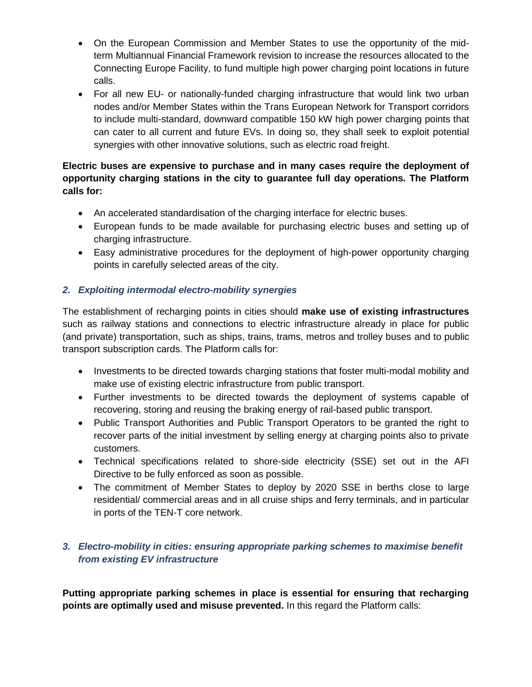- On the European Commission and Member States to use the opportunity of the midterm Multiannual Financial Framework revision to increase the resources allocated to the Connecting Europe Facility, to fund multiple high power charging point locations in future calls.
- For all new EU- or nationally-funded charging infrastructure that would link two urban nodes and/or Member States within the Trans European Network for Transport corridors to include multi-standard, downward compatible 150 kW high power charging points that can cater to all current and future EVs. In doing so, they shall seek to exploit potential synergies with other innovative solutions, such as electric road freight.

# **Electric buses are expensive to purchase and in many cases require the deployment of opportunity charging stations in the city to guarantee full day operations. The Platform calls for:**

- An accelerated standardisation of the charging interface for electric buses.
- European funds to be made available for purchasing electric buses and setting up of charging infrastructure.
- Easy administrative procedures for the deployment of high-power opportunity charging points in carefully selected areas of the city.

# *2. Exploiting intermodal electro-mobility synergies*

The establishment of recharging points in cities should **make use of existing infrastructures** such as railway stations and connections to electric infrastructure already in place for public (and private) transportation, such as ships, trains, trams, metros and trolley buses and to public transport subscription cards. The Platform calls for:

- Investments to be directed towards charging stations that foster multi-modal mobility and make use of existing electric infrastructure from public transport.
- Further investments to be directed towards the deployment of systems capable of recovering, storing and reusing the braking energy of rail-based public transport.
- Public Transport Authorities and Public Transport Operators to be granted the right to recover parts of the initial investment by selling energy at charging points also to private customers.
- Technical specifications related to shore-side electricity (SSE) set out in the AFI Directive to be fully enforced as soon as possible.
- The commitment of Member States to deploy by 2020 SSE in berths close to large residential/ commercial areas and in all cruise ships and ferry terminals, and in particular in ports of the TEN-T core network.

# *3. Electro-mobility in cities: ensuring appropriate parking schemes to maximise benefit from existing EV infrastructure*

**Putting appropriate parking schemes in place is essential for ensuring that recharging points are optimally used and misuse prevented.** In this regard the Platform calls: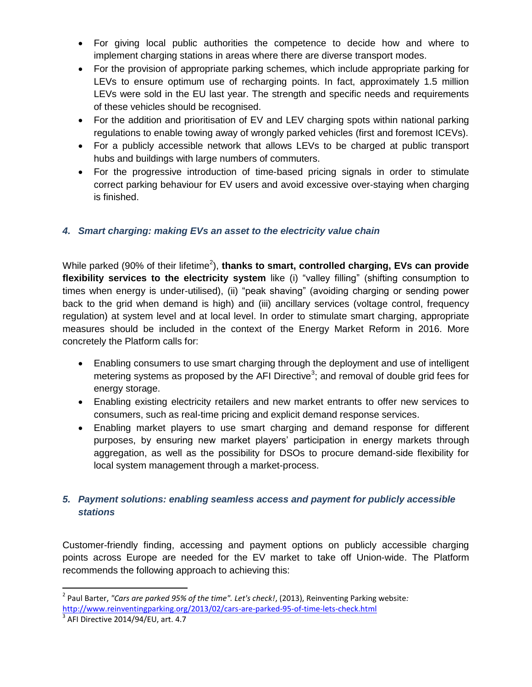- For giving local public authorities the competence to decide how and where to implement charging stations in areas where there are diverse transport modes.
- For the provision of appropriate parking schemes, which include appropriate parking for LEVs to ensure optimum use of recharging points. In fact, approximately 1.5 million LEVs were sold in the EU last year. The strength and specific needs and requirements of these vehicles should be recognised.
- For the addition and prioritisation of EV and LEV charging spots within national parking regulations to enable towing away of wrongly parked vehicles (first and foremost ICEVs).
- For a publicly accessible network that allows LEVs to be charged at public transport hubs and buildings with large numbers of commuters.
- For the progressive introduction of time-based pricing signals in order to stimulate correct parking behaviour for EV users and avoid excessive over-staying when charging is finished.

# *4. Smart charging: making EVs an asset to the electricity value chain*

While parked (90% of their lifetime<sup>2</sup>), thanks to smart, controlled charging, EVs can provide **flexibility services to the electricity system** like (i) "valley filling" (shifting consumption to times when energy is under-utilised), (ii) "peak shaving" (avoiding charging or sending power back to the grid when demand is high) and (iii) ancillary services (voltage control, frequency regulation) at system level and at local level. In order to stimulate smart charging, appropriate measures should be included in the context of the Energy Market Reform in 2016. More concretely the Platform calls for:

- Enabling consumers to use smart charging through the deployment and use of intelligent metering systems as proposed by the AFI Directive<sup>3</sup>; and removal of double grid fees for energy storage.
- Enabling existing electricity retailers and new market entrants to offer new services to consumers, such as real-time pricing and explicit demand response services.
- Enabling market players to use smart charging and demand response for different purposes, by ensuring new market players' participation in energy markets through aggregation, as well as the possibility for DSOs to procure demand-side flexibility for local system management through a market-process.

### *5. Payment solutions: enabling seamless access and payment for publicly accessible stations*

Customer-friendly finding, accessing and payment options on publicly accessible charging points across Europe are needed for the EV market to take off Union-wide. The Platform recommends the following approach to achieving this:

 $\overline{\phantom{a}}$ 2 Paul Barter, *"Cars are parked 95% of the time". Let's check!*, (2013), Reinventing Parking website*:*  <http://www.reinventingparking.org/2013/02/cars-are-parked-95-of-time-lets-check.html>

 $3$  AFI Directive 2014/94/EU, art. 4.7